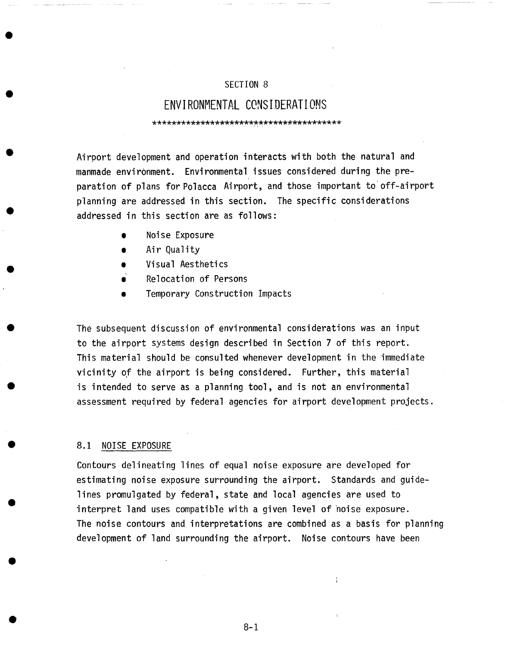# SECTION 8

# **ENVIRONMENTAL CONSIDERATIONS** \*\*\*\*\*\*\*\*\*\*\*\*\*\*\*\*\*\*\*\*\*\*\*\*\*\*\*\*\*\*\*\*\*\*\*\*\*\*\*

Airport development and operation interacts with both the natural and manmade environment. Environmental issues considered during the preparation of plans for Polacca Airport, and those important to off-airport planning are addressed in this section. The specific considerations addressed in this section are as follows:

- Noise Exposure
- Air Quality
- Visual Aesthetics
- **a**  Relocation of Persons
- Temporary Construction Impacts

The subsequent discussion of environmental considerations was an input to the airport systems design described in Section 7 of this report. This material should be consulted whenever development in the immediate vicinity of the airport is being considered. Further, this material is intended to serve as a planning tool, and is not an environmental assessment required by federal agencies for airport development projects.

## 8.1 NOISE EXPOSURE

Contours delineating lines of equal noise exposure are developed for estimating noise exposure surrounding the airport. Standards and guidelines promulgated by federal, state and local agencies are used to interpret land uses compatible with a given level of noise exposure. The noise contours and interpretations are combined as a basis for planning development of land surrounding the airport. Noise contours have been

 $\frac{1}{3}$ 

8-i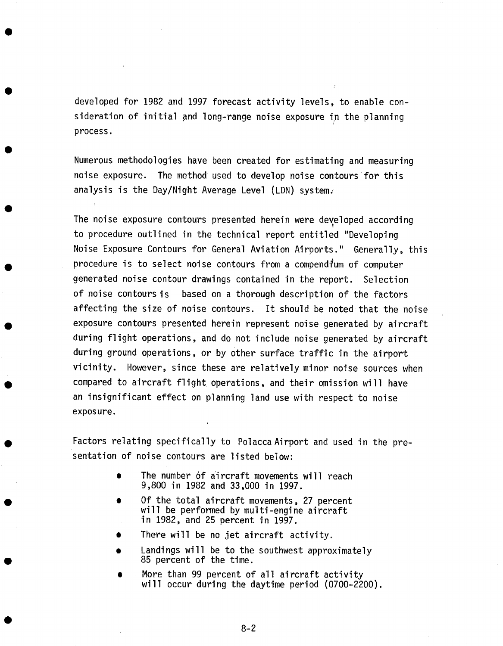developed for 1982 and 1997 forecast activity levels, to enable consideration of initial and long-range noise exposure in the planning process.

Numerous methodologies have been created for estimating and measuring noise exposure. The method used to develop noise contours for this analysis is the Day/Night Average Level (LDN) system.

The noise exposure contours presented herein were developed according to procedure outlined in the technical report entitled "Developing Noise Exposure Contours for General Aviation Airports." Generally, this procedure is to select noise contours from a compendium of computer generated noise contour drawings contained in the report. Selection of noise contours is based on a thorough description of the factors affecting the size of noise contours. It should be noted that the noise exposure contours presented herein represent noise generated by aircraft during flight operations, and do not include noise generated by aircraft during ground operations, or by other surface traffic in the airport vicinity. However, since these are relatively minor noise sources when compared to aircraft flight operations, and their omission will have an insignificant effect on planning land use with respect to noise exposure.

Factors relating specifically to Polacca Airport and used in the presentation of noise contours are listed below:

- The number of aircraft movements will reach 9,800 in 1982 and 33,000 in 1997.
- Of the total aircraft movements, 27 percent will be performed by multi-engine aircraft in 1982, and 25 percent in 1997.
- There will be no jet aircraft activity.
- Landings will be to the southwest approximately 85 percent of the time.
- **O**  More than 99 percent of all aircraft activity will occur during the daytime period (0700-2200).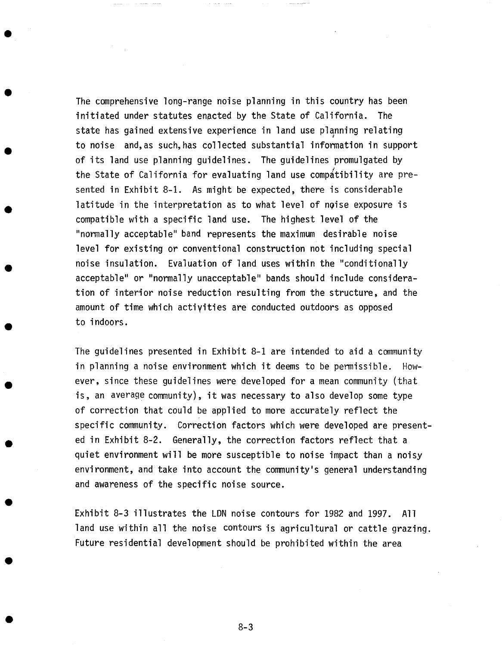The comprehensive long-range noise planning in this country has been initiated under statutes enacted by the State of California. The state has gained extensive experience in land use planning relating to noise and, as such, has collected substantial information in support of its land use planning guidelines. The guidelines promulgated by the State of California for evaluating land use compatibility are presented in Exhibit 8-1. As might be expected, there is considerable latitude in the interpretation as to what level of noise exposure is compatible with a specific land use. The highest level of the "normally acceptable" band represents the maximum desirable noise level for existing or conventional construction not including special noise insulation. Evaluation of land uses within the "conditionally acceptable" or "normally unacceptable" bands should include consideration of interior noise reduction resulting from the structure, and the amount of time which activities are conducted outdoors as opposed to indoors.

The guidelines presented in Exhibit 8-1 are intended to aid a community in planning a noise environment which it deems to be permissible. However, since these guidelines were developed for a mean community (that is, an average community), it was necessary to also develop some type of correction that could be applied to more accurately reflect the specific community. Correction factors which were developed are presented in Exhibit 8-2. Generally, the correction factors reflect that a quiet environment will be more susceptible to noise impact than a noisy environment, and take into account the community's general understanding and awareness of the specific noise source.

Exhibit 8-3 illustrates the LDN noise contours for 1982 and 1997. All land use within all the noise contours is agricultural or cattle grazing. Future residential development should be prohibited within the area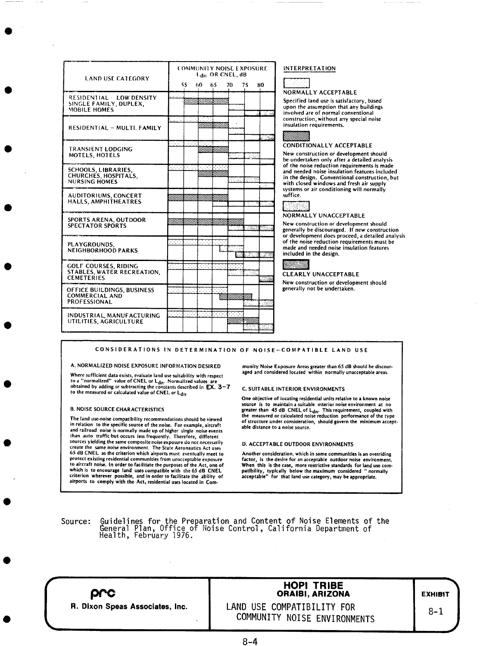| <b>LAND USE CATEGORY</b>                                                       | <b>COMMUNITY NOISE EXPOSURE</b><br>Ldn OR CNEL, dB<br>SS.<br>65<br>70.<br>75<br>80 |
|--------------------------------------------------------------------------------|------------------------------------------------------------------------------------|
| RESIDENTIAL - LOW DENSITY<br>SINGLE FAMILY, DUPLEX,<br>MOBILE HOMES            | <b>Million Collins Collins</b>                                                     |
| RESIDENTIAL - MULTI, FAMILY                                                    | ra a parte del<br>ANNI MANINI                                                      |
| <b>TRANSIENT LODGING -</b><br>MOTELS, HOTELS                                   | ara a basa asas<br>SHIHIDIBIDIDI<br>Vezi s                                         |
| <b>SCHOOLS, LIBRARIES,</b><br>CHURCHES, HOSPITALS.<br><b>NURSING HOMES</b>     | an Trito                                                                           |
| <b>AUDITORIUMS, CONCERT</b><br>HALLS, AMPHITHEATRES                            | AMARAHINI KAMARAHINI K                                                             |
| <b>SPORTS ARENA, OUTDOOR</b><br><b>SPECTATOR SPORTS</b>                        | IIIII IIXIIII IIXII IIXII IIII III<br>S. Sand                                      |
| PLAYGROUNDS.<br><b>NEIGHBORHOOD PARKS</b>                                      | 23 J<br>-149<br>-144<br><b>1999 - 1999</b>                                         |
| <b>GOLF COURSES, RIDING</b><br>STABLES, WATER RECREATION.<br><b>CEMETERIES</b> | लला<br><u>ma</u><br>88. HUSS<br>a a                                                |
| OFFICE BUILDINGS, BUSINESS<br><b>COMMERCIAL AND</b><br><b>PROFESSIONAL</b>     | लका<br>فتحدد المتعان<br>XIIIXIIIIIIIXIIII                                          |
| INDUSTRIAL, MANUFACTURING<br>UTILITIES, AGRICULTURE                            | लिया<br>VIIIIII                                                                    |

### INTERPRETATION



NORMALLY ACCEPTABLE

Specified land use is satisfactory, based upon the assumption that any buildings involved are of normal conventional construction, without any special noise insulation requirements.

### **CONDITIONALLY ACCEPTABLE**

New construction or development should be undertaken only after a detailed analysis of the noise reduction requirements is made and needed noise insulation features included in the design. Conventional construction, but with closed windows and fresh air supply systems or air conditioning will normally suffice.

NORMALLY UNACCEPTABLE

New construction or development should generally be discouraged. If new construction or development does proceed, a detailed analysis of the noise reduction requirements must be made and needed noise insulation features included in the design.



### **CLEARLY UNACCEPTABLE**

New construction or development should generally not be undertaken.

### CONSIDERATIONS IN DETERMINATION OF NOISE-COMPATIBLE LAND USE

A. NORMALIZED NOISE EXPOSURE INFORMATION DESIRED

Where sufficient data exists, evaluate land use suitability with respect to a "normalized" value of CNEL or L<sub>dn</sub>. Normalized values are<br>obtained by adding or subtracting the constants described in **EX**.  $3-7$ to the measured or calculated value of CNEI. or Ldn.

### **B. NOISE SOURCE CHARACTERISTICS**

The land use-noise compatibility recommendations should be viewed in relation to the specific source of the noise. For example, aircraft and railroad noise is normally made up of higher single noise events than auto traffic but occurs less frequently. Therefore, different<br>sources yielding the same composite noise exposure do not necessarily create the same noise environment. The State Aeronautics Act uses<br>65 dB CNEL as the criterion which airports must eventually meet to<br>65 dB CNEL as the criterion which airports must eventually meet to<br>protect existing resid to aircraft noise. In order to facilitate the purposes of the Act, one of which is to encourage land uses compatible with the 65 dB CNEL<br>criterion wherever possible, and in order to facilitate the ability of<br>airports to comply with the Act, residential uses located in Community Noise Exposure Areas greater than 65 dB should be discouraged and considered located within normally unacceptable areas.

### **C. SUITABLE INTERIOR ENVIRONMENTS**

One objective of locating residential units relative to a known noise source is to maintain a suitable interior noise environment at no<br>greater than 45 dB CNEL of  $L_{dn}$ . This requirement, coupled with<br>the measured or calculated noise reduction performance of the type of structure under consideration, should govern the minimum acceptable distance to a noise source.

### D. ACCEPTABLE OUTDOOR ENVIRONMENTS

Another consideration, which in some communities is an overriding factor, is the desire for an acceptable outdoor noise environment. When this is the case, more restrictive standards for land use compatibility, typically below the maximum considered "normally acceptable" for that land use category, may be appropriate.

Guidelines for the Preparation and Content of Noise Elements of the<br>General Plan, Office of Noise Control, California Department of<br>Health, February 1976. Source:

| <b>HOPI TRIBE</b><br><b>ORAIBI, ARIZONA</b> | <b>EXHIBIT</b>               |
|---------------------------------------------|------------------------------|
| LAND USE COMPATIBILITY FOR                  | $8 - 1$                      |
|                                             | COMMUNITY NOISE ENVIRONMENTS |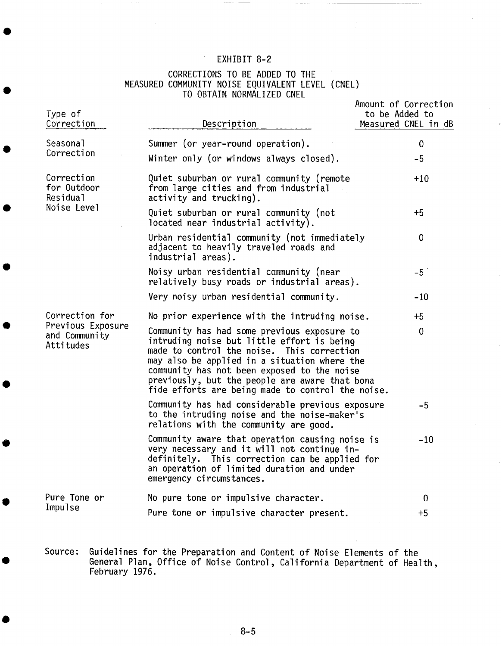# EXHIBIT 8-2

# CORRECTIONS TO BE ADDED TO THE MEASURED COMMUNITY NOISE EQUIVALENT LEVEL (CNEL) TO OBTAIN NORMALIZED CNEL

| Type of<br>Correction                                             | Description                                                                                                                                                                                                                                                                                                                                   | Amount of Correction<br>to be Added to<br>Measured CNEL in dB |
|-------------------------------------------------------------------|-----------------------------------------------------------------------------------------------------------------------------------------------------------------------------------------------------------------------------------------------------------------------------------------------------------------------------------------------|---------------------------------------------------------------|
| Seasonal                                                          | Summer (or year-round operation).                                                                                                                                                                                                                                                                                                             | $\mathbf{0}$                                                  |
| Correction                                                        | Winter only (or windows always closed).                                                                                                                                                                                                                                                                                                       | $-5$                                                          |
| Correction<br>for Outdoor<br>Residual<br>Noise Level              | Quiet suburban or rural community (remote<br>from large cities and from industrial<br>activity and trucking).                                                                                                                                                                                                                                 | $+10$                                                         |
|                                                                   | Quiet suburban or rural community (not<br>located near industrial activity).                                                                                                                                                                                                                                                                  | $+5$                                                          |
|                                                                   | Urban residential community (not immediately<br>adjacent to heavily traveled roads and<br>industrial areas).                                                                                                                                                                                                                                  | $\mathbf 0$                                                   |
|                                                                   | Noisy urban residential community (near<br>relatively busy roads or industrial areas).                                                                                                                                                                                                                                                        | $-5$                                                          |
|                                                                   | Very noisy urban residential community.                                                                                                                                                                                                                                                                                                       | $-10$                                                         |
| Correction for<br>Previous Exposure<br>and Community<br>Attitudes | No prior experience with the intruding noise.                                                                                                                                                                                                                                                                                                 | $+5$                                                          |
|                                                                   | Community has had some previous exposure to<br>intruding noise but little effort is being<br>made to control the noise. This correction<br>may also be applied in a situation where the<br>community has not been exposed to the noise<br>previously, but the people are aware that bona<br>fide efforts are being made to control the noise. | $\mathbf{0}$                                                  |
|                                                                   | Community has had considerable previous exposure<br>to the intruding noise and the noise-maker's<br>relations with the community are good.                                                                                                                                                                                                    | $-5$                                                          |
|                                                                   | Community aware that operation causing noise is<br>very necessary and it will not continue in-<br>definitely. This correction can be applied for<br>an operation of limited duration and under<br>emergency circumstances.                                                                                                                    | $-10$                                                         |
| Pure Tone or                                                      | No pure tone or impulsive character.                                                                                                                                                                                                                                                                                                          | $\mathbf 0$                                                   |
| Impulse                                                           | Pure tone or impulsive character present.                                                                                                                                                                                                                                                                                                     | $+5$                                                          |

Source: Guidelines for the Preparation and Content of Noise Elements of the General Plan, Office of Noise Control, California Department of Health, February 1976.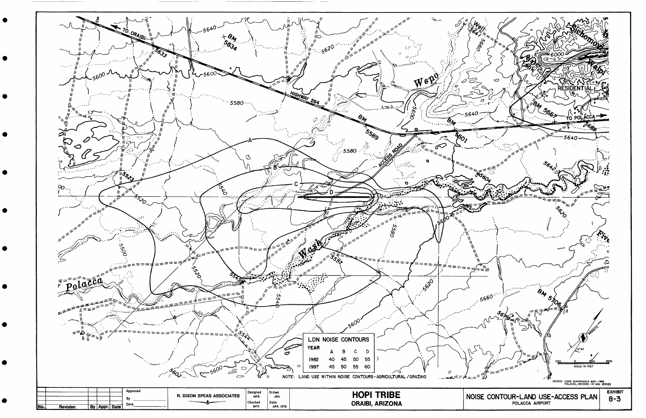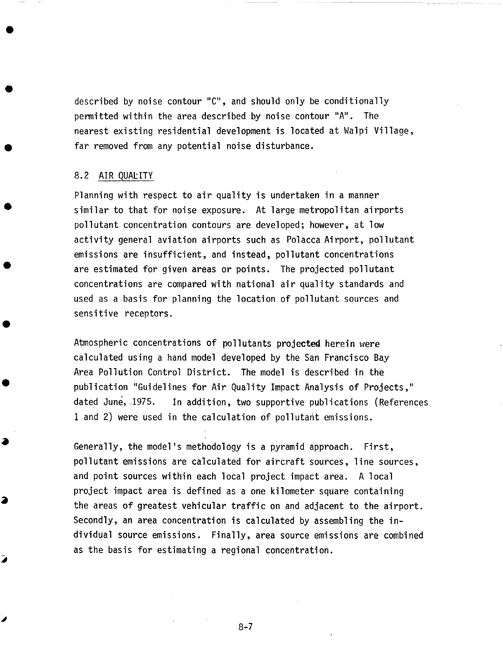described by noise contour "C", and should only be conditionally permitted within the area described by noise contour "A". The nearest existing residential development is located at Walpi Village, far removed from any potential noise disturbance.

## 8.2 AIR QUALITY

Planning with respect to air quality is undertaken in a manner similar to that for noise exposure. At large metropolitan airports pollutant concentration contours are developed; however, at low activity general aviation airports such as Polacca Airport, pollutant emissions are insufficient, and instead, pollutant concentrations are estimated for given areas or points. The projected pollutant concentrations are compared with national air quality standards and used as a basis for planning the location of pollutant sources and sensitive receptors.

Atmospheric concentrations of pollutants projected herein were calculated using a hand model developed by the San Francisco Bay Area Pollution Control District. The model is described in the publication "Guidelines for Air Quality Impact Analysis of Projects," dated June, 1975. In addition, two supportive publications (References 1 and 2) were used in the calculation of pollutant emissions.

Generally, the model's methodology is a pyramid approach. First, pollutant emissions are calculated for aircraft sources, line sources, and point sources within each local project impact area. A local project impact area is defined as a one kilometer square containing the areas of greatest vehicular traffic on and adjacent to the airport. Secondly, an area concentration is calculated by assembling the individual source emissions. Finally, area source emissions are combined as the basis for estimating a regional concentration.

8-7

i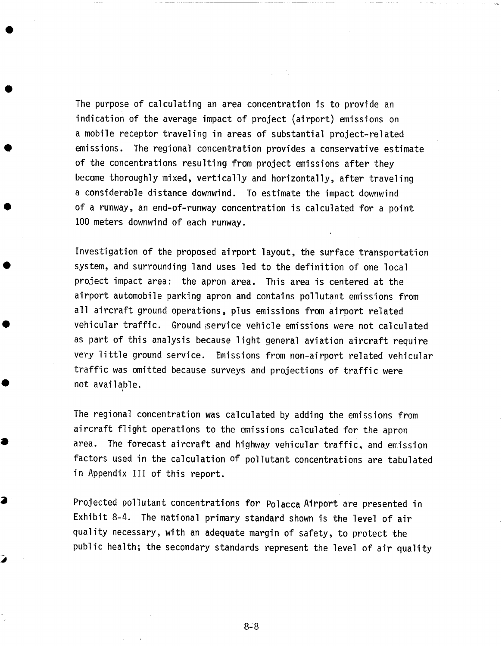The purpose of calculating an area concentration is to provide an indication of the average impact of project (airport) emissions on a mobile receptor traveling in areas of substantial project-related emissions. The regional concentration provides a conservative estimate of the concentrations resulting from project emissions after they become thoroughly mixed, vertically and horizontally, after traveling a considerable distance downwind. To estimate the impact downwind of a runway, an end-of-runway concentration is calculated for a point I00 meters downwind of each runway.

Investigation of the proposed airport layout, the surface transportation system, and surrounding land uses led to the definition of one local project impact area: the apron area. This area is centered at the airport automobile parking apron and contains pollutant emissions from all aircraft ground operations, plus emissions from airport related vehicular traffic. Ground service vehicle emissions were not calculated as part of this analysis because light general aviation aircraft require very little ground service. Emissions from non-airport related vehicular traffic was omitted because surveys and projections of traffic were not available.

The regional concentration was calculated by adding the emissions from aircraft flight operations to the emissions calculated for the apron area. The forecast aircraft and highway vehicular traffic, and emission factors used in the calculation of pollutant concentrations are tabulated in Appendix III of this report.

Projected pollutant concentrations for Polacca Airport are presented in Exhibit 8-4. The national primary standard shown is the level of air quality necessary, with an adequate margin of safety, to protect the public health; the secondary standards represent the level of air quality

◢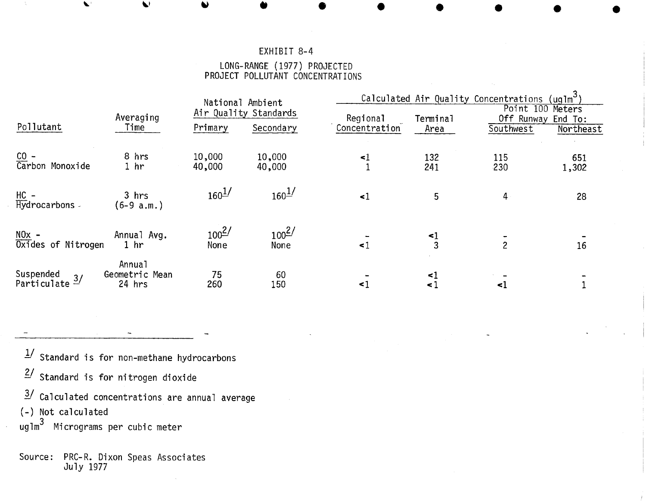# EXHIBIT 8-4

### LONG-RANGE (1977) PROJECTED PROJECT POLLUTANT CONCENTRATIONS

|                                        |                                                | National Ambient<br>Air Quality Standards |                    | Calculated Air Quality Concentrations (uqlm <sup>3</sup> ) |                |                                              |              |
|----------------------------------------|------------------------------------------------|-------------------------------------------|--------------------|------------------------------------------------------------|----------------|----------------------------------------------|--------------|
|                                        | Averaging                                      |                                           |                    | Regional                                                   | Terminal       | Point 100<br>Meters<br>Off Runway<br>End To: |              |
| Pollutant                              | Time                                           | Primary                                   | Secondary          | Concentration                                              | Area           | Southwest                                    | Northeast    |
| CO -<br>Carbon Monoxide                | 8 hrs<br>1 <sub>hr</sub>                       | 10,000<br>40,000                          | 10,000<br>40,000   | $\leq$ 1                                                   | 132<br>241     | 115<br>230                                   | 651<br>1,302 |
| HC -<br>Hydrocarbons -                 | 3 hrs<br>$(6-9 a.m.)$                          | $160^{1/2}$                               | $160^{1/2}$        | $\leq$ 1                                                   | 5              | 4                                            | 28           |
| $NOx -$<br>Oxides of Nitrogen          | Annual Avg.<br>1 <sub>hr</sub>                 | $100^{2/}$<br>None                        | $100^{2/}$<br>None | $\leq$ 1                                                   | $\frac{1}{3}$  | $\overline{c}$                               | 16           |
| Suspended<br>Particulate $\frac{3}{2}$ | Annua <sub>1</sub><br>Geometric Mean<br>24 hrs | 75<br>260                                 | 60<br>150          | $\leq 1$                                                   | <1<br>$\leq$ 1 | $\leq$ 1                                     |              |

- $1/$  Standard is for non-methane hydrocarbons
- $2/$  Standard is for nitrogen dioxide
- 3/ Calculated concentrations are annual average
- (-) Not calculated
- uglm 3 Micrograms per cubic meter

# Source: PRC-R. Dixon Speas Associates July 1977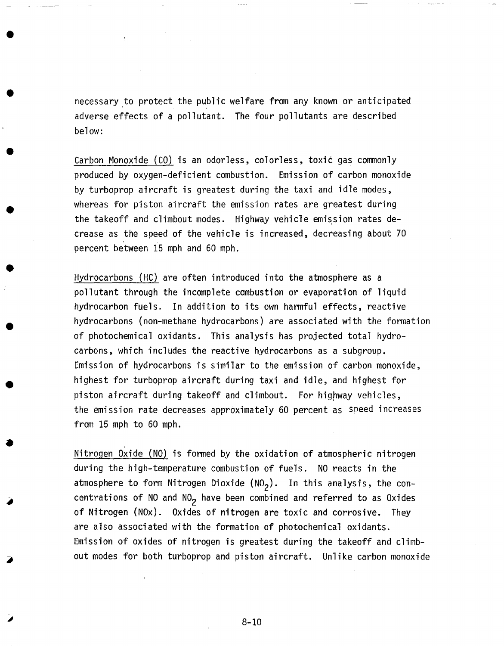necessary to protect the public welfare from any known or anticipated adverse effects of a pollutant. The four pollutants are described below:

Carbon Monoxide (CO) is an odorless, colorless, toxic gas commonly produced by oxygen-deficient combustion. Emission of carbon monoxide by turboprop aircraft is greatest during the taxi and idle modes, whereas for piston aircraft the emission rates are greatest during the takeoff and climbout modes. Highway vehicle emission rates decrease as the speed of the vehicle is increased, decreasing about 70 percent between 15 mph and 60 mph.

Hydrocarbons (HC) are often introduced into the atmosphere as a pollutant through the incomplete combustion or evaporation of liquid hydrocarbon fuels. In addition to its own harmful effects, reactive hydrocarbons (non-methane hydrocarbons) are associated with the formation of photochemical oxidants. This analysis has projected total hydrocarbons, which includes the reactive hydrocarbons as a subgroup. Emission of hydrocarbons is similar to the emission of carbon monoxide, highest for turboprop aircraft during taxi and idle, and highest for piston aircraft during takeoff and climbout. For highway vehicles, the emission rate decreases approximately 60 percent as speed increases from 15 mph to 60 mph.

Nitrogen Oxide (NO) is formed by the oxidation of atmospheric nitrogen during the high-temperature combustion of fuels. NO reacts in the atmosphere to form Nitrogen Dioxide (NO<sub>2</sub>). In this analysis, the concentrations of NO and NO<sub>2</sub> have been combined and referred to as Oxides of Nitrogen (NOx). Oxides of nitrogen are toxic and corrosive. They are also associated with the formation of photochemical oxidants. Emission of oxides of nitrogen is greatest during the takeoff and climbout modes for both turboprop and piston aircraft. Unlike carbon monoxide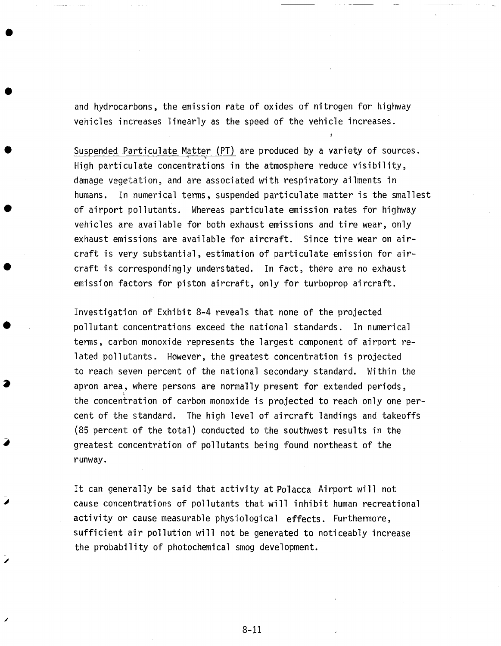and hydrocarbons, the emission rate of oxides of nitrogen for highway vehicles increases linearly as the speed of the vehicle increases.

Suspended Particulate Matter (PT) are produced by a variety of sources. High particulate concentrations in the atmosphere reduce visibility, damage vegetation, and are associated with respiratory ailments in humans. In numerical terms, suspended particulate matter is the smallest of airport pollutants. Whereas particulate emission rates for highway vehicles are available for both exhaust emissions and tire wear, only exhaust emissions are available for aircraft. Since tire wear on aircraft is very substantial, estimation of particulate emission for aircraft is correspondingly understated. In fact, there are no exhaust emission factors for piston aircraft, only for turboprop aircraft.

Investigation of Exhibit 8-4 reveals that none of the projected pollutant concentrations exceed the national standards. In numerical terms, carbon monoxide represents the largest component of airport related pollutants. However, the greatest concentration is projected to reach seven percent of the national secondary standard. Within the apron area, where persons are normally present for extended periods, the concentration of carbon monoxide is projected to reach only one percent of the standard. The high level of aircraft landings and takeoffs (85 percent of the total) conducted to the southwest results in the greatest concentration of pollutants being found northeast of the runway.

It can generally be said that activity at Polacca Airport will not cause concentrations of pollutants that will inhibit human recreational activity or cause measurable physiological effects. Furthermore, sufficient air pollution will not be generated to noticeably increase the probability of photochemical smog development.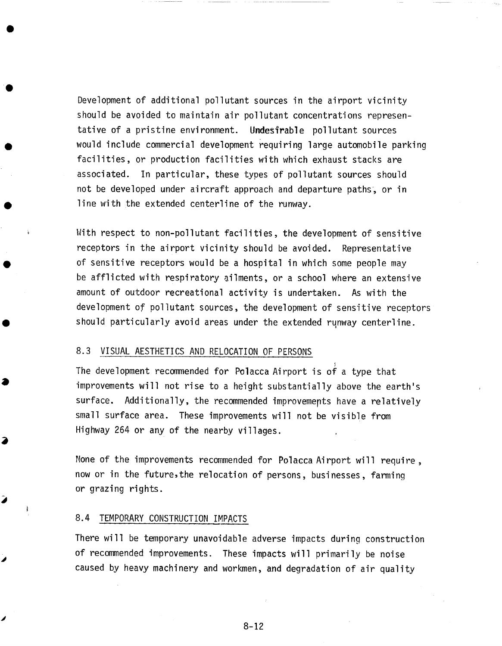Development of additional pollutant sources in the airport vicinity should be avoided to maintain air pollutant concentrations representative of a pristine environment. Undesirable pollutant sources would include commercial development requiring large automobile parking facilities, or production facilities with which exhaust stacks are associated. In particular, these types of pollutant sources should not be developed under aircraft approach and departure paths, or in line with the extended centerline of the runway.

With respect to non-pollutant facilities, the development of sensitive receptors in the airport vicinity should be avoided. Representative of sensitive receptors would be a hospital in which some people may be afflicted with respiratory ailments, or a school where an extensive amount of outdoor recreational activity is undertaken. As with the development of pollutant sources, the development of sensitive receptors should particularly avoid areas under the extended runway centerline.

## 8.3 VISUAL AESTHETICS AND RELOCATION OF PERSONS

The development recommended for Polacca Airport is of a type that improvements will not rise to a height substantially above the earth's surface. Additionally, the recommended improvemepts have a relatively small surface area. These improvements will not be visible from Highway 264 or any of the nearby villages.

None of the improvements recommended for Polacca Airport will require, now or in the future,the relocation of persons, businesses, farming or grazing rights.

### 8.4 TEMPORARY CONSTRUCTION IMPACTS

Í

There will be temporary unavoidable adverse impacts during construction of recommended improvements. These impacts will primarily be noise caused by heavy machinery and workmen, and degradation of air quality